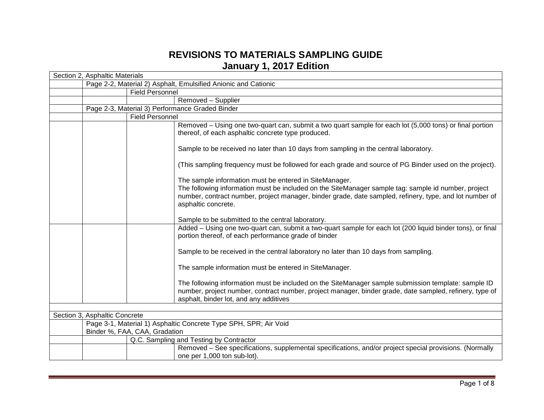## **REVISIONS TO MATERIALS SAMPLING GUIDE January 1, 2017 Edition**

|                               | Section 2, Asphaltic Materials                                   |                                                 |                                                                                                                                                                                                                                                                                                 |  |
|-------------------------------|------------------------------------------------------------------|-------------------------------------------------|-------------------------------------------------------------------------------------------------------------------------------------------------------------------------------------------------------------------------------------------------------------------------------------------------|--|
|                               | Page 2-2, Material 2) Asphalt, Emulsified Anionic and Cationic   |                                                 |                                                                                                                                                                                                                                                                                                 |  |
|                               |                                                                  | <b>Field Personnel</b>                          |                                                                                                                                                                                                                                                                                                 |  |
|                               |                                                                  |                                                 | Removed - Supplier                                                                                                                                                                                                                                                                              |  |
|                               |                                                                  | Page 2-3, Material 3) Performance Graded Binder |                                                                                                                                                                                                                                                                                                 |  |
|                               |                                                                  | <b>Field Personnel</b>                          |                                                                                                                                                                                                                                                                                                 |  |
|                               |                                                                  |                                                 | Removed - Using one two-quart can, submit a two quart sample for each lot (5,000 tons) or final portion<br>thereof, of each asphaltic concrete type produced.                                                                                                                                   |  |
|                               |                                                                  |                                                 | Sample to be received no later than 10 days from sampling in the central laboratory.                                                                                                                                                                                                            |  |
|                               |                                                                  |                                                 | (This sampling frequency must be followed for each grade and source of PG Binder used on the project).                                                                                                                                                                                          |  |
|                               |                                                                  |                                                 | The sample information must be entered in SiteManager.<br>The following information must be included on the SiteManager sample tag: sample id number, project<br>number, contract number, project manager, binder grade, date sampled, refinery, type, and lot number of<br>asphaltic concrete. |  |
|                               |                                                                  |                                                 | Sample to be submitted to the central laboratory.                                                                                                                                                                                                                                               |  |
|                               |                                                                  |                                                 | Added - Using one two-quart can, submit a two-quart sample for each lot (200 liquid binder tons), or final<br>portion thereof, of each performance grade of binder                                                                                                                              |  |
|                               |                                                                  |                                                 | Sample to be received in the central laboratory no later than 10 days from sampling.                                                                                                                                                                                                            |  |
|                               |                                                                  |                                                 | The sample information must be entered in SiteManager.                                                                                                                                                                                                                                          |  |
|                               |                                                                  |                                                 | The following information must be included on the SiteManager sample submission template: sample ID<br>number, project number, contract number, project manager, binder grade, date sampled, refinery, type of<br>asphalt, binder lot, and any additives                                        |  |
|                               |                                                                  |                                                 |                                                                                                                                                                                                                                                                                                 |  |
| Section 3, Asphaltic Concrete |                                                                  |                                                 |                                                                                                                                                                                                                                                                                                 |  |
|                               | Page 3-1, Material 1) Asphaltic Concrete Type SPH, SPR; Air Void |                                                 |                                                                                                                                                                                                                                                                                                 |  |
|                               | Binder %, FAA, CAA, Gradation                                    |                                                 |                                                                                                                                                                                                                                                                                                 |  |
|                               |                                                                  |                                                 | Q.C. Sampling and Testing by Contractor                                                                                                                                                                                                                                                         |  |
|                               |                                                                  |                                                 | Removed – See specifications, supplemental specifications, and/or project special provisions. (Normally                                                                                                                                                                                         |  |
|                               |                                                                  |                                                 | one per 1,000 ton sub-lot).                                                                                                                                                                                                                                                                     |  |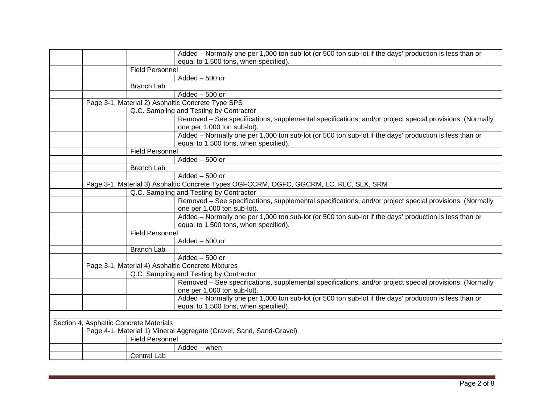|  |                                         | Added - Normally one per 1,000 ton sub-lot (or 500 ton sub-lot if the days' production is less than or  |
|--|-----------------------------------------|---------------------------------------------------------------------------------------------------------|
|  |                                         | equal to 1,500 tons, when specified).                                                                   |
|  | <b>Field Personnel</b>                  |                                                                                                         |
|  |                                         | Added - 500 or                                                                                          |
|  | <b>Branch Lab</b>                       |                                                                                                         |
|  |                                         | $Added - 500$ or                                                                                        |
|  |                                         | Page 3-1, Material 2) Asphaltic Concrete Type SPS                                                       |
|  |                                         | Q.C. Sampling and Testing by Contractor                                                                 |
|  |                                         | Removed – See specifications, supplemental specifications, and/or project special provisions. (Normally |
|  |                                         | one per 1,000 ton sub-lot).                                                                             |
|  |                                         | Added - Normally one per 1,000 ton sub-lot (or 500 ton sub-lot if the days' production is less than or  |
|  |                                         | equal to 1,500 tons, when specified).                                                                   |
|  | <b>Field Personnel</b>                  |                                                                                                         |
|  |                                         | $Added - 500$ or                                                                                        |
|  | <b>Branch Lab</b>                       |                                                                                                         |
|  |                                         | $Added - 500$ or                                                                                        |
|  |                                         | Page 3-1, Material 3) Asphaltic Concrete Types OGFCCRM, OGFC, GGCRM, LC, RLC, SLX, SRM                  |
|  |                                         | Q.C. Sampling and Testing by Contractor                                                                 |
|  |                                         | Removed – See specifications, supplemental specifications, and/or project special provisions. (Normally |
|  |                                         | one per 1,000 ton sub-lot).                                                                             |
|  |                                         | Added - Normally one per 1,000 ton sub-lot (or 500 ton sub-lot if the days' production is less than or  |
|  |                                         | equal to 1,500 tons, when specified).                                                                   |
|  | <b>Field Personnel</b>                  |                                                                                                         |
|  |                                         | $Added - 500$ or                                                                                        |
|  | <b>Branch Lab</b>                       |                                                                                                         |
|  |                                         | $Added - 500$ or                                                                                        |
|  |                                         | Page 3-1, Material 4) Asphaltic Concrete Mixtures                                                       |
|  |                                         | Q.C. Sampling and Testing by Contractor                                                                 |
|  |                                         | Removed - See specifications, supplemental specifications, and/or project special provisions. (Normally |
|  |                                         | one per 1,000 ton sub-lot).                                                                             |
|  |                                         | Added - Normally one per 1,000 ton sub-lot (or 500 ton sub-lot if the days' production is less than or  |
|  |                                         | equal to 1,500 tons, when specified).                                                                   |
|  |                                         |                                                                                                         |
|  | Section 4, Asphaltic Concrete Materials |                                                                                                         |
|  |                                         | Page 4-1, Material 1) Mineral Aggregate (Gravel, Sand, Sand-Gravel)                                     |
|  | <b>Field Personnel</b>                  |                                                                                                         |
|  |                                         | Added - when                                                                                            |
|  | <b>Central Lab</b>                      |                                                                                                         |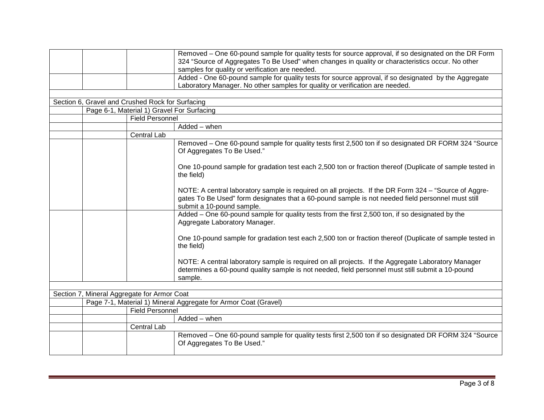|                                             | Removed – One 60-pound sample for quality tests for source approval, if so designated on the DR Form                                                                                                                                    |
|---------------------------------------------|-----------------------------------------------------------------------------------------------------------------------------------------------------------------------------------------------------------------------------------------|
|                                             | 324 "Source of Aggregates To Be Used" when changes in quality or characteristics occur. No other                                                                                                                                        |
|                                             | samples for quality or verification are needed.                                                                                                                                                                                         |
|                                             | Added - One 60-pound sample for quality tests for source approval, if so designated by the Aggregate                                                                                                                                    |
|                                             | Laboratory Manager. No other samples for quality or verification are needed.                                                                                                                                                            |
|                                             |                                                                                                                                                                                                                                         |
|                                             |                                                                                                                                                                                                                                         |
|                                             | Page 6-1, Material 1) Gravel For Surfacing                                                                                                                                                                                              |
|                                             | <b>Field Personnel</b>                                                                                                                                                                                                                  |
|                                             | Added - when                                                                                                                                                                                                                            |
|                                             | Central Lab                                                                                                                                                                                                                             |
|                                             | Removed – One 60-pound sample for quality tests first 2,500 ton if so designated DR FORM 324 "Source<br>Of Aggregates To Be Used."                                                                                                      |
|                                             | One 10-pound sample for gradation test each 2,500 ton or fraction thereof (Duplicate of sample tested in<br>the field)                                                                                                                  |
|                                             | NOTE: A central laboratory sample is required on all projects. If the DR Form 324 - "Source of Aggre-<br>gates To Be Used" form designates that a 60-pound sample is not needed field personnel must still<br>submit a 10-pound sample. |
|                                             | Added – One 60-pound sample for quality tests from the first 2,500 ton, if so designated by the<br>Aggregate Laboratory Manager.                                                                                                        |
|                                             | One 10-pound sample for gradation test each 2,500 ton or fraction thereof (Duplicate of sample tested in<br>the field)                                                                                                                  |
|                                             | NOTE: A central laboratory sample is required on all projects. If the Aggregate Laboratory Manager<br>determines a 60-pound quality sample is not needed, field personnel must still submit a 10-pound<br>sample.                       |
|                                             |                                                                                                                                                                                                                                         |
| Section 7, Mineral Aggregate for Armor Coat |                                                                                                                                                                                                                                         |
|                                             | Page 7-1, Material 1) Mineral Aggregate for Armor Coat (Gravel)                                                                                                                                                                         |
|                                             | <b>Field Personnel</b>                                                                                                                                                                                                                  |
|                                             | Added - when                                                                                                                                                                                                                            |
|                                             | Central Lab                                                                                                                                                                                                                             |
|                                             | Removed – One 60-pound sample for quality tests first 2,500 ton if so designated DR FORM 324 "Source<br>Of Aggregates To Be Used."                                                                                                      |
|                                             | Section 6, Gravel and Crushed Rock for Surfacing                                                                                                                                                                                        |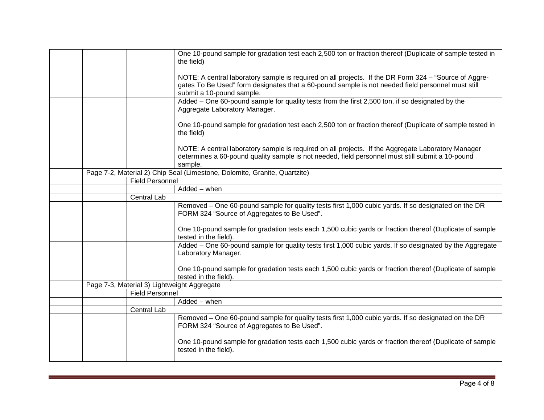|  |                        | One 10-pound sample for gradation test each 2,500 ton or fraction thereof (Duplicate of sample tested in<br>the field)                                                                                                                  |
|--|------------------------|-----------------------------------------------------------------------------------------------------------------------------------------------------------------------------------------------------------------------------------------|
|  |                        | NOTE: A central laboratory sample is required on all projects. If the DR Form 324 - "Source of Aggre-<br>gates To Be Used" form designates that a 60-pound sample is not needed field personnel must still<br>submit a 10-pound sample. |
|  |                        | Added - One 60-pound sample for quality tests from the first 2,500 ton, if so designated by the<br>Aggregate Laboratory Manager.                                                                                                        |
|  |                        | One 10-pound sample for gradation test each 2,500 ton or fraction thereof (Duplicate of sample tested in<br>the field)                                                                                                                  |
|  |                        | NOTE: A central laboratory sample is required on all projects. If the Aggregate Laboratory Manager<br>determines a 60-pound quality sample is not needed, field personnel must still submit a 10-pound<br>sample.                       |
|  |                        | Page 7-2, Material 2) Chip Seal (Limestone, Dolomite, Granite, Quartzite)                                                                                                                                                               |
|  | <b>Field Personnel</b> |                                                                                                                                                                                                                                         |
|  |                        | Added - when                                                                                                                                                                                                                            |
|  | Central Lab            |                                                                                                                                                                                                                                         |
|  |                        | Removed - One 60-pound sample for quality tests first 1,000 cubic yards. If so designated on the DR<br>FORM 324 "Source of Aggregates to Be Used".                                                                                      |
|  |                        | One 10-pound sample for gradation tests each 1,500 cubic yards or fraction thereof (Duplicate of sample<br>tested in the field).                                                                                                        |
|  |                        | Added – One 60-pound sample for quality tests first 1,000 cubic yards. If so designated by the Aggregate<br>Laboratory Manager.                                                                                                         |
|  |                        | One 10-pound sample for gradation tests each 1,500 cubic yards or fraction thereof (Duplicate of sample<br>tested in the field).                                                                                                        |
|  |                        | Page 7-3, Material 3) Lightweight Aggregate                                                                                                                                                                                             |
|  | <b>Field Personnel</b> |                                                                                                                                                                                                                                         |
|  |                        | Added - when                                                                                                                                                                                                                            |
|  | Central Lab            |                                                                                                                                                                                                                                         |
|  |                        | Removed – One 60-pound sample for quality tests first 1,000 cubic yards. If so designated on the DR<br>FORM 324 "Source of Aggregates to Be Used".                                                                                      |
|  |                        | One 10-pound sample for gradation tests each 1,500 cubic yards or fraction thereof (Duplicate of sample<br>tested in the field).                                                                                                        |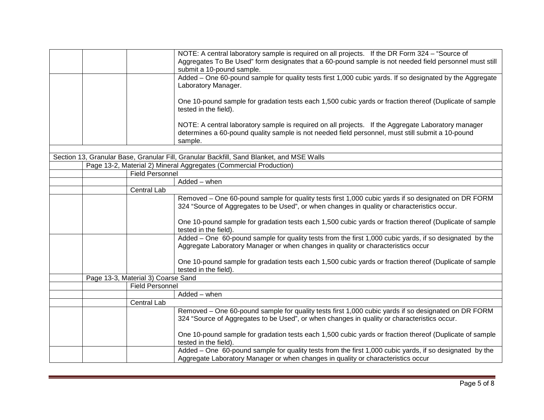|  |                                    | NOTE: A central laboratory sample is required on all projects. If the DR Form 324 - "Source of                                                                                                     |
|--|------------------------------------|----------------------------------------------------------------------------------------------------------------------------------------------------------------------------------------------------|
|  |                                    | Aggregates To Be Used" form designates that a 60-pound sample is not needed field personnel must still<br>submit a 10-pound sample.                                                                |
|  |                                    | Added - One 60-pound sample for quality tests first 1,000 cubic yards. If so designated by the Aggregate                                                                                           |
|  |                                    | Laboratory Manager.                                                                                                                                                                                |
|  |                                    | One 10-pound sample for gradation tests each 1,500 cubic yards or fraction thereof (Duplicate of sample                                                                                            |
|  |                                    | tested in the field).                                                                                                                                                                              |
|  |                                    | NOTE: A central laboratory sample is required on all projects. If the Aggregate Laboratory manager                                                                                                 |
|  |                                    | determines a 60-pound quality sample is not needed field personnel, must still submit a 10-pound                                                                                                   |
|  |                                    | sample.                                                                                                                                                                                            |
|  |                                    |                                                                                                                                                                                                    |
|  |                                    | Section 13, Granular Base, Granular Fill, Granular Backfill, Sand Blanket, and MSE Walls                                                                                                           |
|  |                                    | Page 13-2, Material 2) Mineral Aggregates (Commercial Production)                                                                                                                                  |
|  | <b>Field Personnel</b>             |                                                                                                                                                                                                    |
|  |                                    | Added - when                                                                                                                                                                                       |
|  | <b>Central Lab</b>                 |                                                                                                                                                                                                    |
|  |                                    | Removed - One 60-pound sample for quality tests first 1,000 cubic yards if so designated on DR FORM<br>324 "Source of Aggregates to be Used", or when changes in quality or characteristics occur. |
|  |                                    | One 10-pound sample for gradation tests each 1,500 cubic yards or fraction thereof (Duplicate of sample<br>tested in the field).                                                                   |
|  |                                    | Added - One 60-pound sample for quality tests from the first 1,000 cubic yards, if so designated by the<br>Aggregate Laboratory Manager or when changes in quality or characteristics occur        |
|  |                                    | One 10-pound sample for gradation tests each 1,500 cubic yards or fraction thereof (Duplicate of sample<br>tested in the field).                                                                   |
|  | Page 13-3, Material 3) Coarse Sand |                                                                                                                                                                                                    |
|  | <b>Field Personnel</b>             |                                                                                                                                                                                                    |
|  |                                    | Added - when                                                                                                                                                                                       |
|  | Central Lab                        |                                                                                                                                                                                                    |
|  |                                    | Removed - One 60-pound sample for quality tests first 1,000 cubic yards if so designated on DR FORM<br>324 "Source of Aggregates to be Used", or when changes in quality or characteristics occur. |
|  |                                    | One 10-pound sample for gradation tests each 1,500 cubic yards or fraction thereof (Duplicate of sample<br>tested in the field).                                                                   |
|  |                                    | Added - One 60-pound sample for quality tests from the first 1,000 cubic yards, if so designated by the<br>Aggregate Laboratory Manager or when changes in quality or characteristics occur        |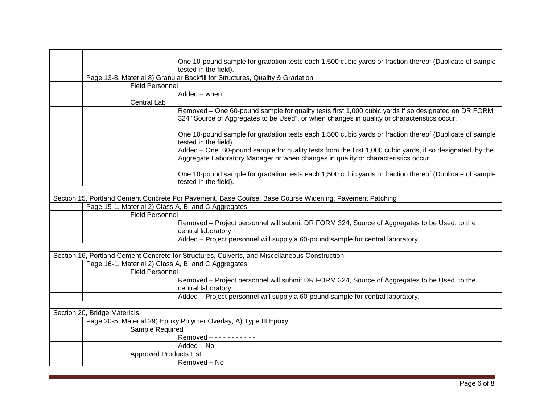|                                                                  |                               | One 10-pound sample for gradation tests each 1,500 cubic yards or fraction thereof (Duplicate of sample                                                                                            |
|------------------------------------------------------------------|-------------------------------|----------------------------------------------------------------------------------------------------------------------------------------------------------------------------------------------------|
|                                                                  |                               | tested in the field).                                                                                                                                                                              |
|                                                                  |                               | Page 13-8, Material 8) Granular Backfill for Structures, Quality & Gradation                                                                                                                       |
|                                                                  | <b>Field Personnel</b>        |                                                                                                                                                                                                    |
|                                                                  |                               | Added - when                                                                                                                                                                                       |
|                                                                  | Central Lab                   |                                                                                                                                                                                                    |
|                                                                  |                               | Removed – One 60-pound sample for quality tests first 1,000 cubic yards if so designated on DR FORM<br>324 "Source of Aggregates to be Used", or when changes in quality or characteristics occur. |
|                                                                  |                               | One 10-pound sample for gradation tests each 1,500 cubic yards or fraction thereof (Duplicate of sample<br>tested in the field).                                                                   |
|                                                                  |                               | Added – One 60-pound sample for quality tests from the first 1,000 cubic yards, if so designated by the<br>Aggregate Laboratory Manager or when changes in quality or characteristics occur        |
|                                                                  |                               | One 10-pound sample for gradation tests each 1,500 cubic yards or fraction thereof (Duplicate of sample<br>tested in the field).                                                                   |
|                                                                  |                               |                                                                                                                                                                                                    |
|                                                                  |                               | Section 15, Portland Cement Concrete For Pavement, Base Course, Base Course Widening, Pavement Patching                                                                                            |
|                                                                  |                               | Page 15-1, Material 2) Class A, B, and C Aggregates                                                                                                                                                |
|                                                                  | <b>Field Personnel</b>        |                                                                                                                                                                                                    |
|                                                                  |                               | Removed - Project personnel will submit DR FORM 324, Source of Aggregates to be Used, to the<br>central laboratory                                                                                 |
|                                                                  |                               | Added - Project personnel will supply a 60-pound sample for central laboratory.                                                                                                                    |
|                                                                  |                               |                                                                                                                                                                                                    |
|                                                                  |                               | Section 16, Portland Cement Concrete for Structures, Culverts, and Miscellaneous Construction                                                                                                      |
|                                                                  |                               | Page 16-1, Material 2) Class A, B, and C Aggregates                                                                                                                                                |
|                                                                  | <b>Field Personnel</b>        |                                                                                                                                                                                                    |
|                                                                  |                               | Removed – Project personnel will submit DR FORM 324, Source of Aggregates to be Used, to the                                                                                                       |
|                                                                  |                               | central laboratory                                                                                                                                                                                 |
|                                                                  |                               | Added - Project personnel will supply a 60-pound sample for central laboratory.                                                                                                                    |
|                                                                  |                               |                                                                                                                                                                                                    |
| Section 20, Bridge Materials                                     |                               |                                                                                                                                                                                                    |
| Page 20-5, Material 29) Epoxy Polymer Overlay, A) Type III Epoxy |                               |                                                                                                                                                                                                    |
|                                                                  | Sample Required               |                                                                                                                                                                                                    |
|                                                                  |                               |                                                                                                                                                                                                    |
|                                                                  |                               | Added - No                                                                                                                                                                                         |
|                                                                  | <b>Approved Products List</b> |                                                                                                                                                                                                    |
|                                                                  |                               | Removed - No                                                                                                                                                                                       |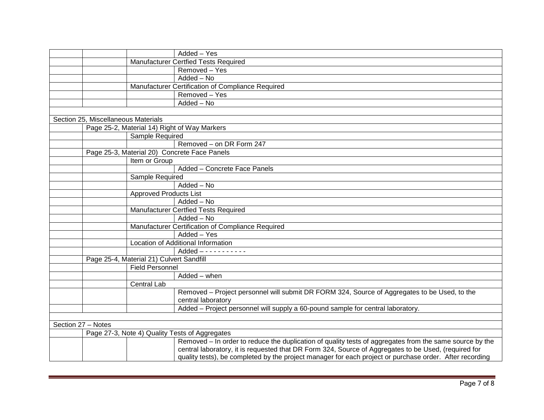|                                          |                               | Added - Yes                                                                                             |
|------------------------------------------|-------------------------------|---------------------------------------------------------------------------------------------------------|
|                                          |                               | Manufacturer Certfied Tests Required                                                                    |
|                                          |                               | Removed - Yes                                                                                           |
|                                          |                               | $\overline{\text{Added} - \text{No}}$                                                                   |
|                                          |                               | Manufacturer Certification of Compliance Required                                                       |
|                                          |                               | Removed - Yes                                                                                           |
|                                          |                               | Added - No                                                                                              |
|                                          |                               |                                                                                                         |
| Section 25, Miscellaneous Materials      |                               |                                                                                                         |
|                                          |                               | Page 25-2, Material 14) Right of Way Markers                                                            |
|                                          | Sample Required               |                                                                                                         |
|                                          |                               | Removed - on DR Form 247                                                                                |
|                                          |                               | Page 25-3, Material 20) Concrete Face Panels                                                            |
|                                          | Item or Group                 |                                                                                                         |
|                                          |                               | Added - Concrete Face Panels                                                                            |
|                                          | Sample Required               |                                                                                                         |
|                                          |                               | Added - No                                                                                              |
|                                          | <b>Approved Products List</b> |                                                                                                         |
|                                          |                               | Added - No                                                                                              |
|                                          |                               | <b>Manufacturer Certfied Tests Required</b>                                                             |
|                                          |                               | Added - No                                                                                              |
|                                          |                               | Manufacturer Certification of Compliance Required                                                       |
|                                          |                               | Added - Yes                                                                                             |
|                                          |                               | Location of Additional Information                                                                      |
|                                          |                               |                                                                                                         |
| Page 25-4, Material 21) Culvert Sandfill |                               |                                                                                                         |
|                                          | <b>Field Personnel</b>        |                                                                                                         |
|                                          |                               | Added - when                                                                                            |
|                                          | Central Lab                   |                                                                                                         |
|                                          |                               | Removed – Project personnel will submit DR FORM 324, Source of Aggregates to be Used, to the            |
|                                          |                               | central laboratory                                                                                      |
|                                          |                               | Added – Project personnel will supply a 60-pound sample for central laboratory.                         |
|                                          |                               |                                                                                                         |
| Section 27 - Notes                       |                               |                                                                                                         |
|                                          |                               | Page 27-3, Note 4) Quality Tests of Aggregates                                                          |
|                                          |                               | Removed – In order to reduce the duplication of quality tests of aggregates from the same source by the |
|                                          |                               | central laboratory, it is requested that DR Form 324, Source of Aggregates to be Used, (required for    |
|                                          |                               | quality tests), be completed by the project manager for each project or purchase order. After recording |